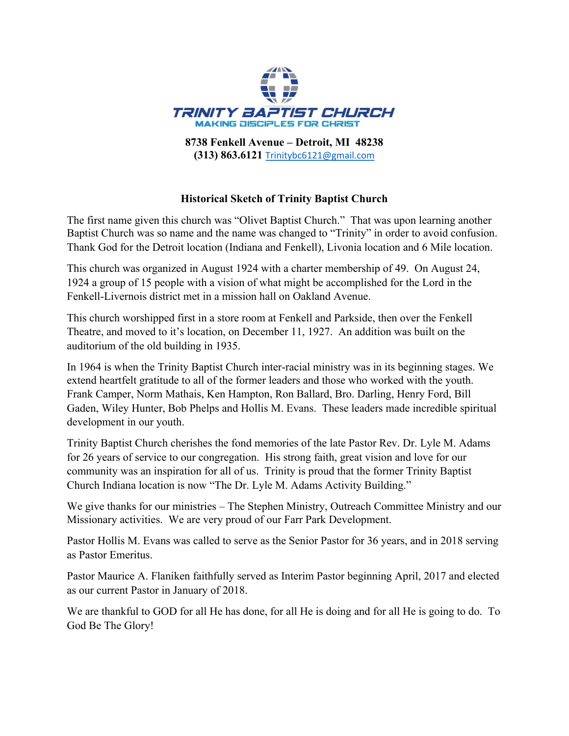

**(313) 863.6121** Trinitybc6121@gmail.com

# **Historical Sketch of Trinity Baptist Church**

The first name given this church was "Olivet Baptist Church." That was upon learning another Baptist Church was so name and the name was changed to "Trinity" in order to avoid confusion. Thank God for the Detroit location (Indiana and Fenkell), Livonia location and 6 Mile location.

This church was organized in August 1924 with a charter membership of 49. On August 24, 1924 a group of 15 people with a vision of what might be accomplished for the Lord in the Fenkell-Livernois district met in a mission hall on Oakland Avenue.

This church worshipped first in a store room at Fenkell and Parkside, then over the Fenkell Theatre, and moved to it's location, on December 11, 1927. An addition was built on the auditorium of the old building in 1935.

In 1964 is when the Trinity Baptist Church inter-racial ministry was in its beginning stages. We extend heartfelt gratitude to all of the former leaders and those who worked with the youth. Frank Camper, Norm Mathais, Ken Hampton, Ron Ballard, Bro. Darling, Henry Ford, Bill Gaden, Wiley Hunter, Bob Phelps and Hollis M. Evans. These leaders made incredible spiritual development in our youth.

Trinity Baptist Church cherishes the fond memories of the late Pastor Rev. Dr. Lyle M. Adams for 26 years of service to our congregation. His strong faith, great vision and love for our community was an inspiration for all of us. Trinity is proud that the former Trinity Baptist Church Indiana location is now "The Dr. Lyle M. Adams Activity Building."

We give thanks for our ministries – The Stephen Ministry, Outreach Committee Ministry and our Missionary activities. We are very proud of our Farr Park Development.

Pastor Hollis M. Evans was called to serve as the Senior Pastor for 36 years, and in 2018 serving as Pastor Emeritus.

Pastor Maurice A. Flaniken faithfully served as Interim Pastor beginning April, 2017 and elected as our current Pastor in January of 2018.

We are thankful to GOD for all He has done, for all He is doing and for all He is going to do. To God Be The Glory!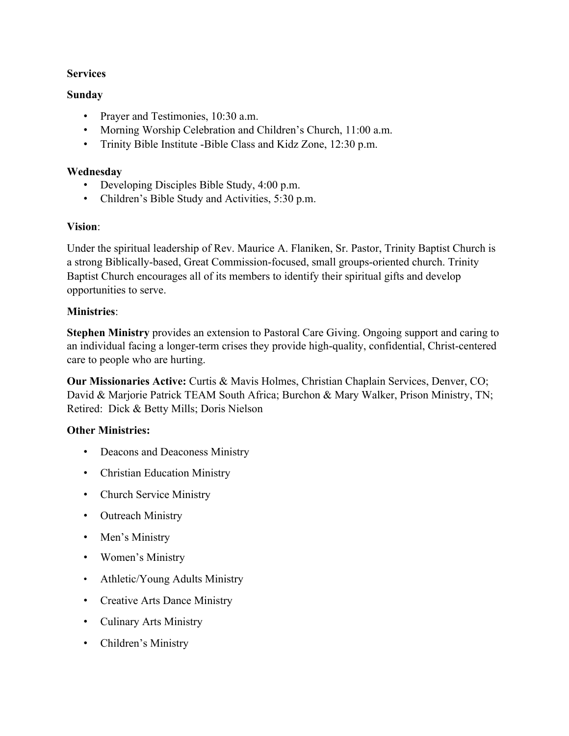# **Services**

### **Sunday**

- Prayer and Testimonies, 10:30 a.m.
- Morning Worship Celebration and Children's Church, 11:00 a.m.
- Trinity Bible Institute -Bible Class and Kidz Zone, 12:30 p.m.

### **Wednesday**

- Developing Disciples Bible Study, 4:00 p.m.
- Children's Bible Study and Activities, 5:30 p.m.

### **Vision**:

Under the spiritual leadership of Rev. Maurice A. Flaniken, Sr. Pastor, Trinity Baptist Church is a strong Biblically-based, Great Commission-focused, small groups-oriented church. Trinity Baptist Church encourages all of its members to identify their spiritual gifts and develop opportunities to serve.

# **Ministries**:

**Stephen Ministry** provides an extension to Pastoral Care Giving. Ongoing support and caring to an individual facing a longer-term crises they provide high-quality, confidential, Christ-centered care to people who are hurting.

**Our Missionaries Active:** Curtis & Mavis Holmes, Christian Chaplain Services, Denver, CO; David & Marjorie Patrick TEAM South Africa; Burchon & Mary Walker, Prison Ministry, TN; Retired: Dick & Betty Mills; Doris Nielson

# **Other Ministries:**

- Deacons and Deaconess Ministry
- Christian Education Ministry
- Church Service Ministry
- Outreach Ministry
- Men's Ministry
- Women's Ministry
- Athletic/Young Adults Ministry
- Creative Arts Dance Ministry
- Culinary Arts Ministry
- Children's Ministry